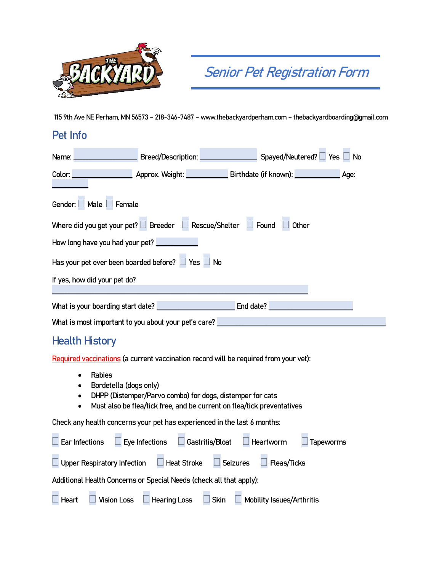

## **Senior Pet Registration Form**

**115 9th Ave NE Perham, MN 56573 – 218-346-7487 – www.thebackyardperham.com – thebackyardboarding@gmail.com**

## **Pet Info**

| Name: Name: Name: Name: Name: Name: Name: Name: Name: Name: Name: Name: Name: Name: Name: Name: Name: Name: Na |                                                                                                       |           | $\Box$ Spayed/Neutered? $\Box$ Yes $\Box$ No |  |  |
|----------------------------------------------------------------------------------------------------------------|-------------------------------------------------------------------------------------------------------|-----------|----------------------------------------------|--|--|
| Color:                                                                                                         | Approx. Weight: <b>Approx.</b> Weight: <b>Notify Birthdate</b> (if known): <b>Notify Approx.</b> Age: |           |                                              |  |  |
| Gender: $\Box$ Male $\Box$ Female                                                                              |                                                                                                       |           |                                              |  |  |
| Where did you get your pet? $\Box$ Breeder $\Box$ Rescue/Shelter $\Box$ Found $\Box$ Other                     |                                                                                                       |           |                                              |  |  |
| How long have you had your pet?                                                                                |                                                                                                       |           |                                              |  |  |
| Has your pet ever been boarded before? $\Box$ Yes $\Box$ No                                                    |                                                                                                       |           |                                              |  |  |
| If yes, how did your pet do?                                                                                   |                                                                                                       |           |                                              |  |  |
| What is your boarding start date?                                                                              |                                                                                                       | End date? |                                              |  |  |
| What is most important to you about your pet's care?                                                           |                                                                                                       |           |                                              |  |  |

## **Health History**

**Required vaccinations (a current vaccination record will be required from your vet):**

- **Rabies**
- **Bordetella (dogs only)**
- **DHPP (Distemper/Parvo combo) for dogs, distemper for cats**
- **Must also be flea/tick free, and be current on flea/tick preventatives**

**Check any health concerns your pet has experienced in the last 6 months:**

| $\Box$ Ear Infections | $\Box$ Eye Infections $\Box$ Gastritis/Bloat $\Box$ Heartworm           |  | Tapeworms |
|-----------------------|-------------------------------------------------------------------------|--|-----------|
|                       | □ Upper Respiratory Infection □ Heat Stroke □ Seizures □ Fleas/Ticks    |  |           |
|                       | Additional Health Concerns or Special Needs (check all that apply):     |  |           |
|                       | ■ Heart ■ Vision Loss ■ Hearing Loss ■ Skin ■ Mobility Issues/Arthritis |  |           |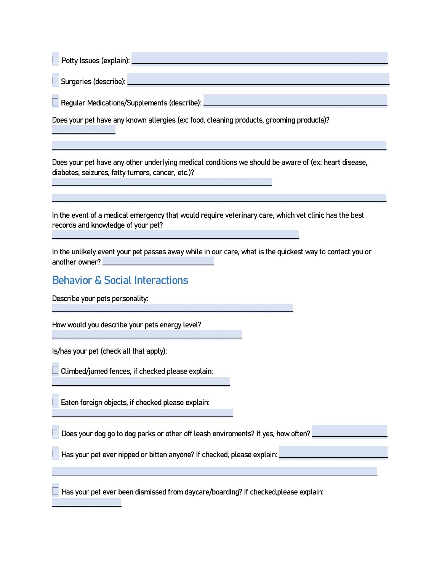| Potty Issues (explain): |  |
|-------------------------|--|
| Surgeries (describe):   |  |

**Regular Medications/Supplements (describe): \_\_\_\_\_\_\_\_\_\_\_\_\_\_\_\_\_\_\_\_\_\_\_\_\_\_\_\_\_\_\_\_\_\_\_\_\_\_\_\_\_\_\_\_\_\_\_\_\_\_\_\_\_\_\_\_\_\_\_\_\_**

**Does your pet have any known allergies (ex: food, cleaning products, grooming products)?** 

**\_\_\_\_\_\_\_\_\_\_\_\_\_\_\_\_\_\_\_\_\_\_\_\_\_\_\_\_\_\_\_\_\_\_\_\_\_\_\_\_\_\_\_\_\_\_\_\_\_\_\_\_\_\_\_\_\_\_\_\_\_\_\_\_\_\_\_\_\_\_\_\_\_**

**\_\_\_\_\_\_\_\_\_\_\_\_\_\_\_\_\_\_\_\_\_\_\_\_\_\_\_\_\_\_\_\_\_\_\_\_\_\_\_\_\_\_\_\_\_\_\_\_\_\_\_\_\_\_\_\_\_\_\_\_\_\_\_\_\_\_\_\_\_\_\_\_\_\_\_\_\_\_\_\_\_\_**

**\_\_\_\_\_\_\_\_\_\_\_\_\_\_\_\_\_\_\_\_\_\_\_\_\_\_\_\_\_\_\_\_\_\_\_\_\_\_\_\_\_\_\_\_\_\_\_\_\_\_\_\_\_\_\_\_\_\_\_\_\_\_\_\_\_\_\_\_\_\_\_\_\_\_\_\_\_\_\_\_**

**Does your pet have any other underlying medical conditions we should be aware of (ex: heart disease, diabetes, seizures, fatty tumors, cancer, etc.)?** 

**\_\_\_\_\_\_\_\_\_\_\_\_\_\_\_\_\_\_\_\_\_\_\_\_\_\_\_\_\_\_\_\_\_\_\_\_\_\_\_\_\_\_\_\_\_\_\_\_\_\_\_\_\_\_\_\_\_\_\_\_\_\_\_\_\_\_\_\_\_\_\_\_\_\_\_\_\_\_\_\_\_\_\_\_\_\_\_\_\_\_\_\_\_\_\_\_\_\_\_\_\_\_\_\_\_\_\_\_\_\_\_**

**\_\_\_\_\_\_\_\_\_\_\_\_\_\_\_\_\_\_\_\_\_\_\_\_\_\_\_\_\_\_\_\_\_\_\_\_\_\_\_\_\_\_\_\_\_\_\_\_\_\_\_\_\_\_\_\_\_\_\_\_\_\_\_\_\_\_\_\_\_\_\_\_\_\_\_\_\_\_\_\_\_\_\_\_\_\_\_\_\_\_\_\_\_\_\_\_\_\_\_\_\_\_\_\_\_\_\_\_\_\_\_**

**In the event of a medical emergency that would require veterinary care, which vet clinic has the best records and knowledge of your pet?** 

**In the unlikely event your pet passes away while in our care, what is the quickest way to contact you or another owner? \_\_\_\_\_\_\_\_\_\_\_\_\_\_\_\_\_\_\_\_\_\_\_\_\_\_\_\_\_\_\_\_\_\_\_\_\_**

## **Behavior & Social Interactions**

**Describe your pets personality:** 

**\_\_\_\_\_\_\_\_\_\_\_\_\_\_\_\_\_\_\_\_\_**

**How would you describe your pets energy level?** 

**Is/has your pet (check all that apply):**

**\_\_\_\_\_\_\_\_\_\_\_\_\_\_\_\_\_\_\_\_\_\_\_**

 **Climbed/jumed fences, if checked please explain: \_\_\_\_\_\_\_\_\_\_\_\_\_\_\_\_\_\_\_\_\_\_\_\_\_\_\_\_\_\_\_\_\_\_\_\_\_\_\_\_\_\_\_\_\_\_\_\_\_\_\_\_\_\_\_\_\_\_\_**

**\_\_\_\_\_\_\_\_\_\_\_\_\_\_\_\_\_\_\_\_\_\_\_\_\_\_\_\_\_\_\_\_\_\_\_\_\_\_\_\_\_\_\_\_\_\_\_\_\_\_\_\_\_\_\_\_\_\_\_\_\_\_\_**

**Eaten foreign objects, if checked please explain:** 

**Does your dog go to dog parks or other off leash enviroments? If yes, how often? \_\_\_\_\_\_\_\_\_\_\_\_\_\_\_\_\_\_\_\_\_\_\_\_\_**

Has your pet ever nipped or bitten anyone? If checked, please explain: **L** 

**Has your pet ever been dismissed from daycare/boarding? If checked,please explain:** 

**\_\_\_\_\_\_\_\_\_\_\_\_\_\_\_\_\_\_\_\_\_\_\_\_\_\_\_\_\_\_\_\_\_\_\_\_\_\_\_\_\_\_\_\_\_\_\_\_\_\_\_\_\_\_\_\_\_\_\_\_\_\_\_\_\_\_\_\_\_\_\_\_\_\_\_\_\_\_\_\_\_\_\_\_\_\_\_\_\_\_\_\_\_\_\_\_\_\_\_\_\_\_\_\_\_\_\_\_**